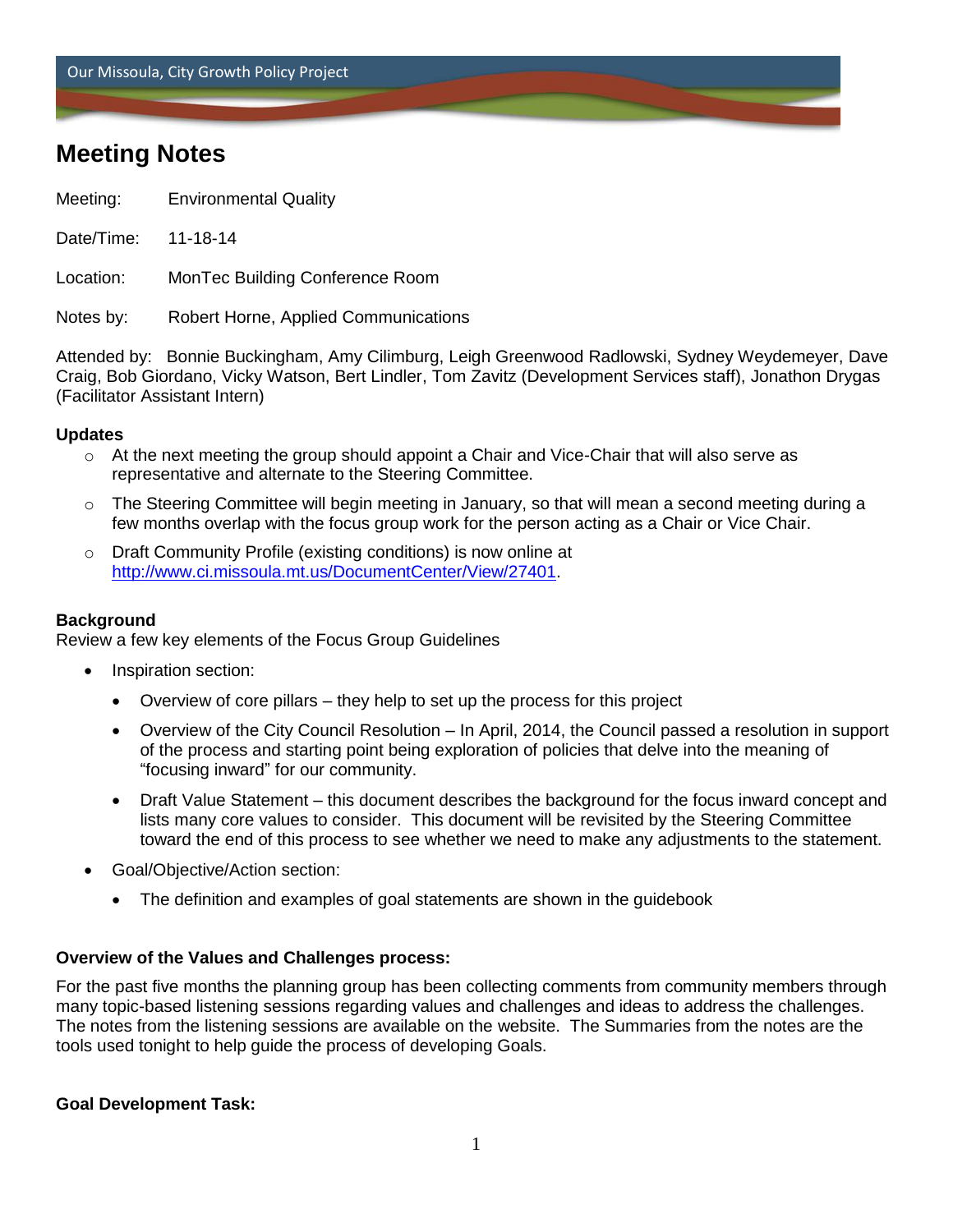Our Missoula, City Growth Policy Project

# **Meeting Notes**

- Meeting: Environmental Quality
- Date/Time: 11-18-14

Location: MonTec Building Conference Room

Notes by: Robert Horne, Applied Communications

Attended by: Bonnie Buckingham, Amy Cilimburg, Leigh Greenwood Radlowski, Sydney Weydemeyer, Dave Craig, Bob Giordano, Vicky Watson, Bert Lindler, Tom Zavitz (Development Services staff), Jonathon Drygas (Facilitator Assistant Intern)

# **Updates**

- $\circ$  At the next meeting the group should appoint a Chair and Vice-Chair that will also serve as representative and alternate to the Steering Committee.
- $\circ$  The Steering Committee will begin meeting in January, so that will mean a second meeting during a few months overlap with the focus group work for the person acting as a Chair or Vice Chair.
- o Draft Community Profile (existing conditions) is now online at [http://www.ci.missoula.mt.us/DocumentCenter/View/27401.](http://www.ci.missoula.mt.us/DocumentCenter/View/27401)

# **Background**

Review a few key elements of the Focus Group Guidelines

- Inspiration section:
	- Overview of core pillars they help to set up the process for this project
	- Overview of the City Council Resolution In April, 2014, the Council passed a resolution in support of the process and starting point being exploration of policies that delve into the meaning of "focusing inward" for our community.
	- Draft Value Statement this document describes the background for the focus inward concept and lists many core values to consider. This document will be revisited by the Steering Committee toward the end of this process to see whether we need to make any adjustments to the statement.
- Goal/Objective/Action section:
	- The definition and examples of goal statements are shown in the guidebook

#### **Overview of the Values and Challenges process:**

For the past five months the planning group has been collecting comments from community members through many topic-based listening sessions regarding values and challenges and ideas to address the challenges. The notes from the listening sessions are available on the website. The Summaries from the notes are the tools used tonight to help guide the process of developing Goals.

#### **Goal Development Task:**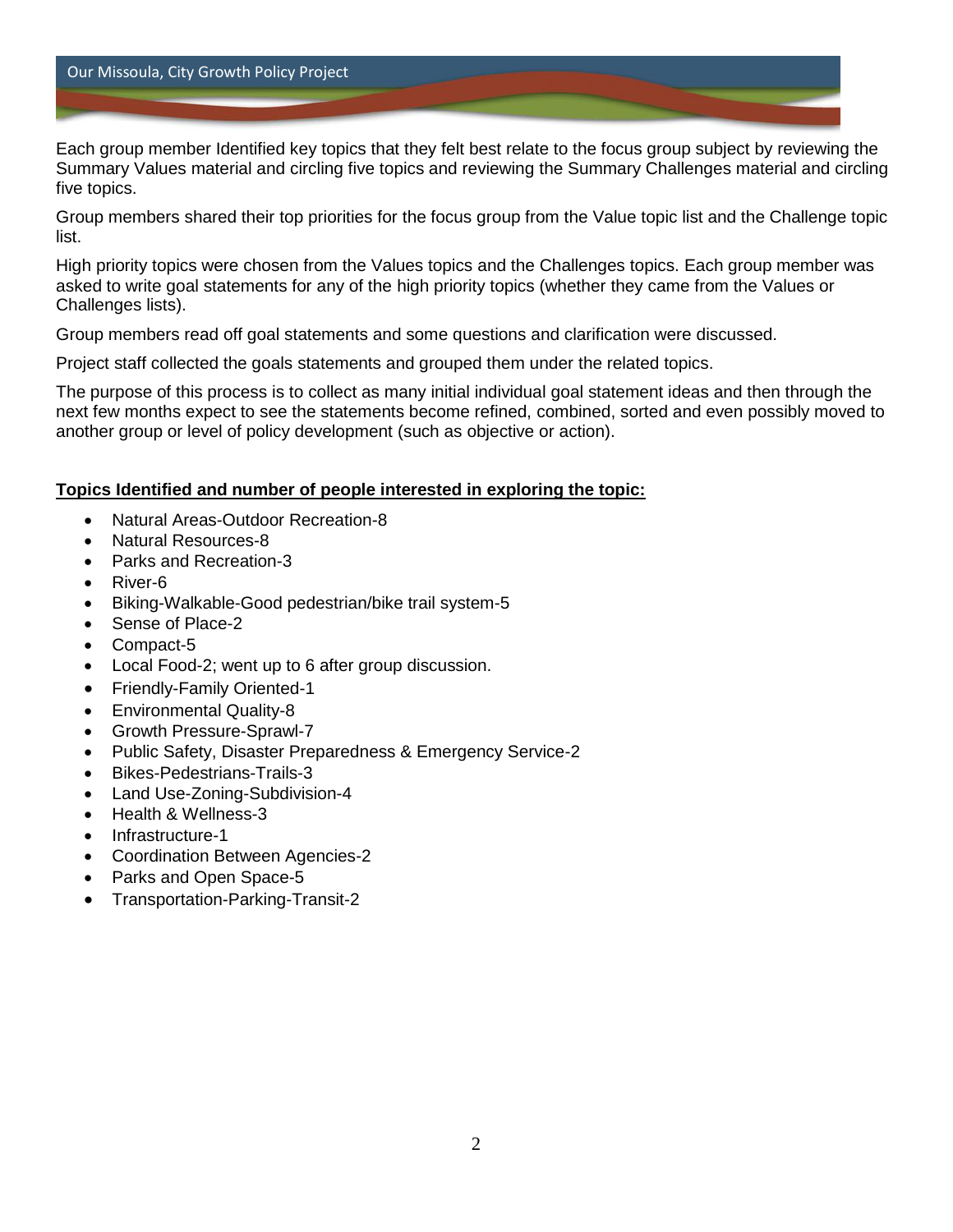#### Our Missoula, City Growth Policy Project

Each group member Identified key topics that they felt best relate to the focus group subject by reviewing the Summary Values material and circling five topics and reviewing the Summary Challenges material and circling five topics.

Group members shared their top priorities for the focus group from the Value topic list and the Challenge topic list.

High priority topics were chosen from the Values topics and the Challenges topics. Each group member was asked to write goal statements for any of the high priority topics (whether they came from the Values or Challenges lists).

Group members read off goal statements and some questions and clarification were discussed.

Project staff collected the goals statements and grouped them under the related topics.

The purpose of this process is to collect as many initial individual goal statement ideas and then through the next few months expect to see the statements become refined, combined, sorted and even possibly moved to another group or level of policy development (such as objective or action).

#### **Topics Identified and number of people interested in exploring the topic:**

- Natural Areas-Outdoor Recreation-8
- Natural Resources-8
- Parks and Recreation-3
- River-6
- Biking-Walkable-Good pedestrian/bike trail system-5
- Sense of Place-2
- Compact-5
- Local Food-2; went up to 6 after group discussion.
- Friendly-Family Oriented-1
- Environmental Quality-8
- Growth Pressure-Sprawl-7
- Public Safety, Disaster Preparedness & Emergency Service-2
- Bikes-Pedestrians-Trails-3
- Land Use-Zoning-Subdivision-4
- Health & Wellness-3
- Infrastructure-1
- Coordination Between Agencies-2
- Parks and Open Space-5
- Transportation-Parking-Transit-2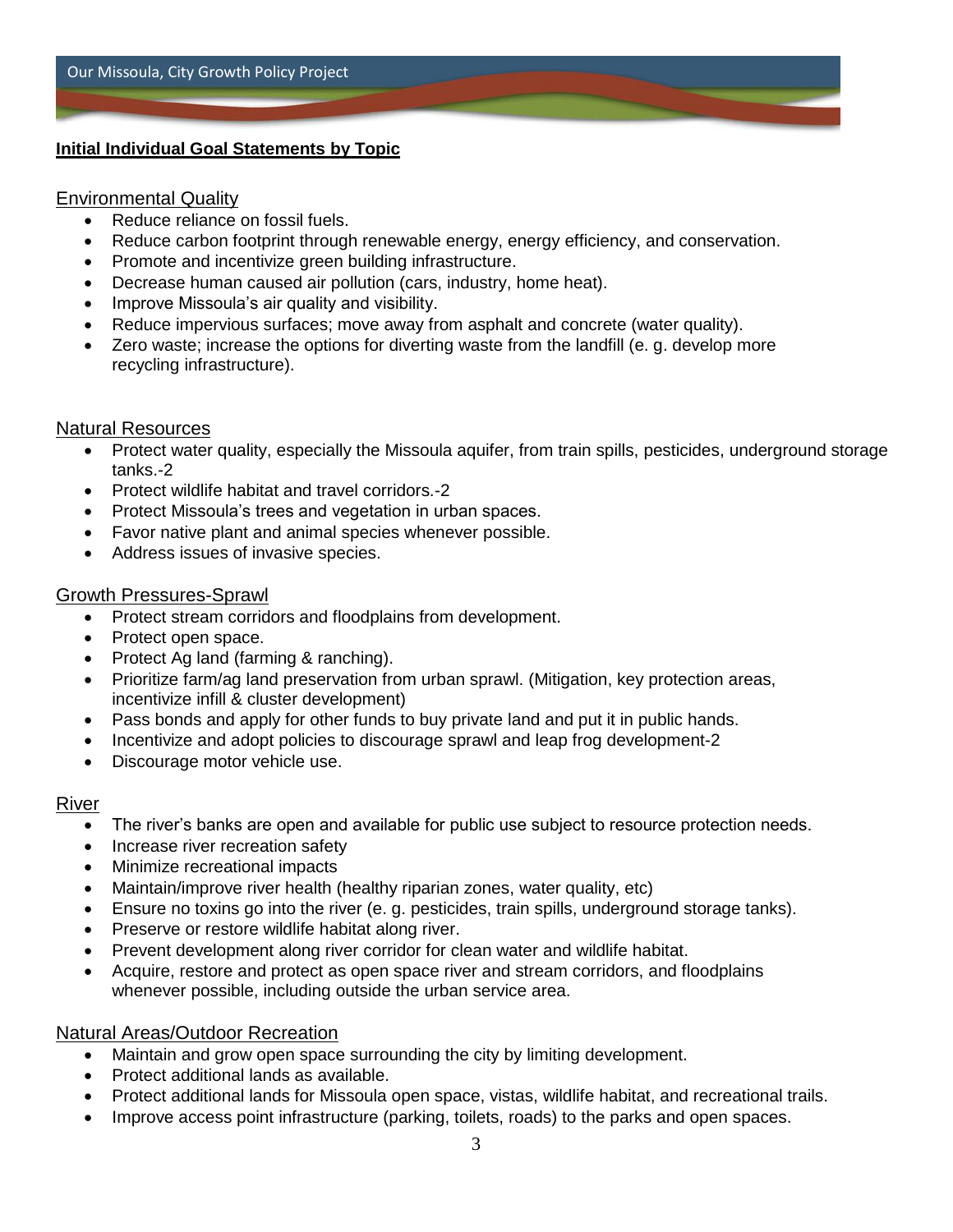# **Initial Individual Goal Statements by Topic**

# Environmental Quality

- Reduce reliance on fossil fuels.
- Reduce carbon footprint through renewable energy, energy efficiency, and conservation.
- Promote and incentivize green building infrastructure.
- Decrease human caused air pollution (cars, industry, home heat).
- Improve Missoula's air quality and visibility.
- Reduce impervious surfaces; move away from asphalt and concrete (water quality).
- Zero waste; increase the options for diverting waste from the landfill (e. g. develop more recycling infrastructure).

# Natural Resources

- Protect water quality, especially the Missoula aquifer, from train spills, pesticides, underground storage tanks.-2
- Protect wildlife habitat and travel corridors.-2
- Protect Missoula's trees and vegetation in urban spaces.
- Favor native plant and animal species whenever possible.
- Address issues of invasive species.

# Growth Pressures-Sprawl

- Protect stream corridors and floodplains from development.
- Protect open space.
- Protect Ag land (farming & ranching).
- Prioritize farm/ag land preservation from urban sprawl. (Mitigation, key protection areas, incentivize infill & cluster development)
- Pass bonds and apply for other funds to buy private land and put it in public hands.
- Incentivize and adopt policies to discourage sprawl and leap frog development-2
- Discourage motor vehicle use.

# River

- The river's banks are open and available for public use subject to resource protection needs.
- Increase river recreation safety
- Minimize recreational impacts
- Maintain/improve river health (healthy riparian zones, water quality, etc)
- Ensure no toxins go into the river (e. g. pesticides, train spills, underground storage tanks).
- Preserve or restore wildlife habitat along river.
- Prevent development along river corridor for clean water and wildlife habitat.
- Acquire, restore and protect as open space river and stream corridors, and floodplains whenever possible, including outside the urban service area.

# Natural Areas/Outdoor Recreation

- Maintain and grow open space surrounding the city by limiting development.
- Protect additional lands as available.
- Protect additional lands for Missoula open space, vistas, wildlife habitat, and recreational trails.
- Improve access point infrastructure (parking, toilets, roads) to the parks and open spaces.